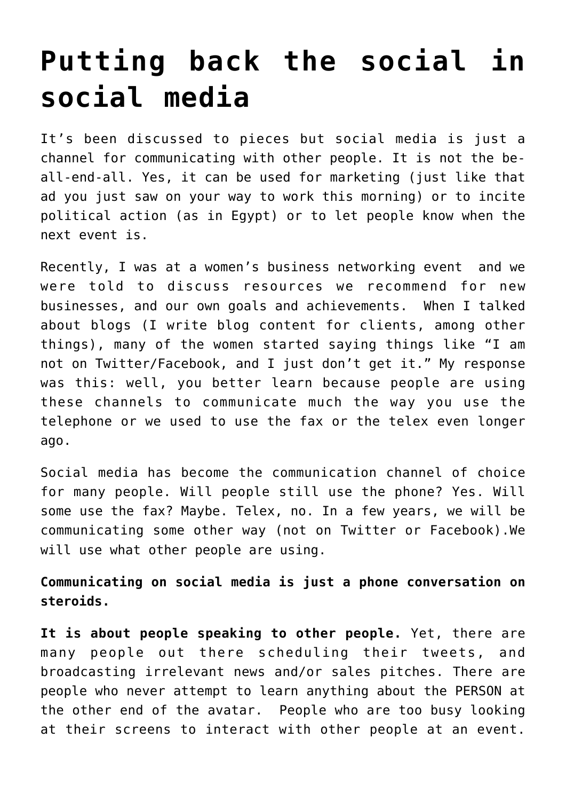## **[Putting back the social in](https://deborahbrody.com/2011/06/putting-back-the-social-in-social-media/) [social media](https://deborahbrody.com/2011/06/putting-back-the-social-in-social-media/)**

It's been discussed to pieces but social media is just a channel for communicating with other people. It is not the beall-end-all. Yes, it can be used for marketing (just like that ad you just saw on your way to work this morning) or to incite political action (as in Egypt) or to let people know when the next event is.

Recently, I was at a women's business networking event and we were told to discuss resources we recommend for new businesses, and our own goals and achievements. When I talked about blogs (I write blog content for clients, among other things), many of the women started saying things like "I am not on Twitter/Facebook, and I just don't get it." My response was this: well, you better learn because people are using these channels to communicate much the way you use the telephone or we used to use the fax or the telex even longer ago.

Social media has become the communication channel of choice for many people. Will people still use the phone? Yes. Will some use the fax? Maybe. Telex, no. In a few years, we will be communicating some other way (not on Twitter or Facebook).We will use what other people are using.

**Communicating on social media is just a phone conversation on steroids.**

**It is about people speaking to other people.** Yet, there are many people out there scheduling their tweets, and broadcasting irrelevant news and/or sales pitches. There are people who never attempt to learn anything about the PERSON at the other end of the avatar. People who are too busy looking at their screens to interact with other people at an event.